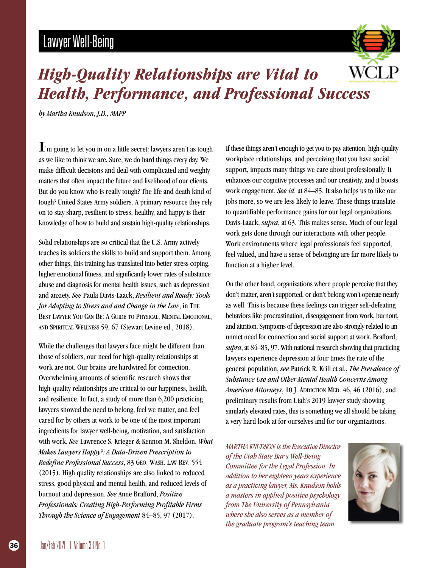# **Lawyer Well-Being**



## **High-Quality Relationships are Vital to Health, Performance, and Professional Success**

by Martha Knudson, J.D., MAPP

 $\mathbf{I}$ 'm going to let you in on a little secret: lawyers aren't as tough as we like to think we are. Sure, we do hard things every day. We make difficult decisions and deal with complicated and weighty matters that often impact the future and livelihood of our clients. But do you know who is really tough? The life and death kind of tough? United States Army soldiers. A primary resource they rely on to stay sharp, resilient to stress, healthy, and happy is their knowledge of how to build and sustain high-quality relationships.

Solid relationships are so critical that the U.S. Army actively teaches its soldiers the skills to build and support them. Among other things, this training has translated into better stress coping, higher emotional fitness, and significantly lower rates of substance abuse and diagnosis for mental health issues, such as depression and anxiety. See Paula Davis-Laack, Resilient and Ready: Tools for Adapting to Stress and and Change in the Law, in THE BEST LAWYER YOU CAN BE: A GUIDE TO PHYSICAL, MENTAL EMOTIONAL, AND SPIRITUAL WELLNESS 59, 67 (Stewart Levine ed., 2018).

While the challenges that lawyers face might be different than those of soldiers, our need for high-quality relationships at work are not. Our brains are hardwired for connection. Overwhelming amounts of scientific research shows that high-quality relationships are critical to our happiness, health, and resilience. In fact, a study of more than 6,200 practicing lawyers showed the need to belong, feel we matter, and feel cared for by others at work to be one of the most important ingredients for lawyer well-being, motivation, and satisfaction with work. See Lawrence S. Krieger & Kennon M. Sheldon, What Makes Lawyers Happy?: A Data-Driven Prescription to Redefine Professional Success, 83 GEO. WASH. LAW REV. 554 (2015). High quality relationships are also linked to reduced stress, good physical and mental health, and reduced levels of burnout and depression. See Anne Brafford, Positive Professionals: Creating High-Performing Profitable Firms Through the Science of Engagement 84-85, 97 (2017).

If these things aren't enough to get you to pay attention, high-quality workplace relationships, and perceiving that you have social support, impacts many things we care about professionally. It enhances our cognitive processes and our creativity, and it boosts work engagement. See id. at 84–85. It also helps us to like our jobs more, so we are less likely to leave. These things translate to quantifiable performance gains for our legal organizations. Davis-Laack, *supra*, at 63. This makes sense. Much of our legal work gets done through our interactions with other people. Work environments where legal professionals feel supported, feel valued, and have a sense of belonging are far more likely to function at a higher level.

On the other hand, organizations where people perceive that they don't matter, aren't supported, or don't belong won't operate nearly as well. This is because these feelings can trigger self-defeating behaviors like procrastination, disengagement from work, burnout, and attrition. Symptoms of depression are also strongly related to an unmet need for connection and social support at work. Brafford, *supra*, at 84–85, 97. With national research showing that practicing lawyers experience depression at four times the rate of the general population, see Patrick R. Krill et al., The Prevalence of Substance Use and Other Mental Health Concerns Among American Attorneys, 10 J. ADDICTION MED. 46, 46 (2016), and preliminary results from Utah's 2019 lawyer study showing similarly elevated rates, this is something we all should be taking a very hard look at for ourselves and for our organizations.

**MARTHA KNUDSON is the Executive Director** of the Utah State Bar's Well-Being Committee for the Legal Profession. In addition to her eighteen years experience as a practicing lawyer, Ms. Knudson holds a masters in applied positive psychology from The University of Pennsylvania where she also serves as a member of the graduate program's teaching team.



36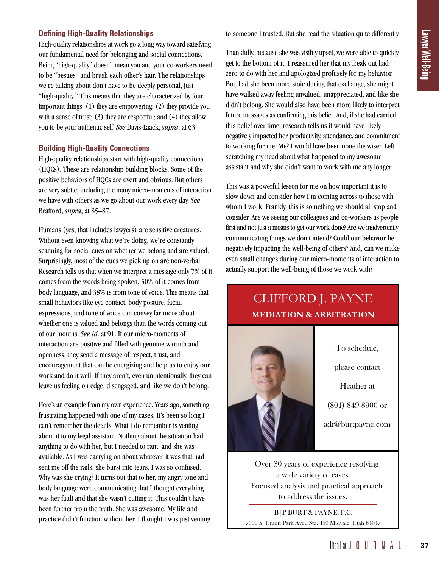#### **Defining High-Quality Relationships**

High-quality relationships at work go a long way toward satisfying our fundamental need for belonging and social connections. Being "high-quality" doesn't mean you and your co-workers need to be "besties" and brush each other's hair. The relationships we're talking about don't have to be deeply personal, just "high-quality." This means that they are characterized by four important things: (1) they are empowering; (2) they provide you with a sense of trust;  $(3)$  they are respectful; and  $(4)$  they allow you to be your authentic self. *See* Davis-Laack, *supra*, at 63.

#### **Building High-Quality Connections**

High-quality relationships start with high-quality connections (HQCs). These are relationship building blocks. Some of the positive behaviors of HQCs are overt and obvious. But others are very subtle, including the many micro-moments of interaction we have with others as we go about our work every day. *See*  Brafford, *supra*, at 85–87.

Humans (yes, that includes lawyers) are sensitive creatures. Without even knowing what we're doing, we're constantly scanning for social cues on whether we belong and are valued. Surprisingly, most of the cues we pick up on are non-verbal. Research tells us that when we interpret a message only 7% of it comes from the words being spoken, 50% of it comes from body language, and 38% is from tone of voice. This means that small behaviors like eye contact, body posture, facial expressions, and tone of voice can convey far more about whether one is valued and belongs than the words coming out of our mouths. *See id*. at 91. If our micro-moments of interaction are positive and filled with genuine warmth and openness, they send a message of respect, trust, and encouragement that can be energizing and help us to enjoy our work and do it well. If they aren't, even unintentionally, they can leave us feeling on edge, disengaged, and like we don't belong.

Here's an example from my own experience. Years ago, something frustrating happened with one of my cases. It's been so long I can't remember the details. What I do remember is venting about it to my legal assistant. Nothing about the situation had anything to do with her, but I needed to rant, and she was available. As I was carrying on about whatever it was that had sent me off the rails, she burst into tears. I was so confused. Why was she crying? It turns out that to her, my angry tone and body language were communicating that I thought everything was her fault and that she wasn't cutting it. This couldn't have been further from the truth. She was awesome. My life and practice didn't function without her. I thought I was just venting to someone I trusted. But she read the situation quite differently.

Thankfully, because she was visibly upset, we were able to quickly get to the bottom of it. I reassured her that my freak out had zero to do with her and apologized profusely for my behavior. But, had she been more stoic during that exchange, she might have walked away feeling unvalued, unappreciated, and like she didn't belong. She would also have been more likely to interpret future messages as confirming this belief. And, if she had carried this belief over time, research tells us it would have likely negatively impacted her productivity, attendance, and commitment to working for me. Me? I would have been none the wiser. Left scratching my head about what happened to my awesome assistant and why she didn't want to work with me any longer.

This was a powerful lesson for me on how important it is to slow down and consider how I'm coming across to those with whom I work. Frankly, this is something we should all stop and consider. Are we seeing our colleagues and co-workers as people first and not just a means to get our work done? Are we inadvertently communicating things we don't intend? Could our behavior be negatively impacting the well-being of others? And, can we make even small changes during our micro-moments of interaction to actually support the well-being of those we work with?

### CLIFFORD J. PAYNE **MEDIATION & ARBITRATION**



To schedule,

please contact

Heather at

(801) 849-8900 or

adr@burtpayne.com

- Over 30 years of experience resolving a wide variety of cases.
- Focused analysis and practical approach to address the issues.

B|P BURT & PAYNE, P.C. 7090 S. Union Park Ave., Ste. 450 Midvale, Utah 84047